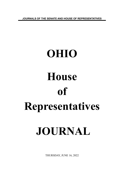**JOURNALS OF THE SENATE AND HOUSE OF REPRESENTATIVES**

# **OHIO House of Representatives JOURNAL**

THURSDAY, JUNE 16, 2022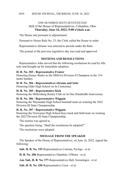#### HOUSE JOURNAL, THURSDAY, JUNE 16, 2022 2934

## ONE HUNDRED SIXTY-SEVENTH DAY Hall of the House of Representatives, Columbus, Ohio **Thursday, June 16, 2022, 9:00 o'clock a.m.**

The House met pursuant to adjournment.

Pursuant to House Rule No. 23, the Clerk called the House to order.

Representative Abrams was selected to preside under the Rule.

The journal of the previous legislative day was read and approved.

## **MOTIONS AND RESOLUTIONS**

Representative John moved that the following resolutions be read by title only and brought up for immediate adoption:

#### **H. R. No. 303 - Representative Fraizer**

Honoring Huntyr Butler as the OHSAA Division II Champion in the 110 meter hurdles.

#### **H. R. No. 304 - Representatives Abrams and Seitz**

Honoring Elder High School on its Centennial.

#### **H. R. No. 305 - Representative Kick**

Honoring the Millersburg Rotary Club on its One Hundredth Anniversary.

#### **H. R. No. 306 - Representative Wiggam**

Honoring the Waynedale High School baseball team on winning the 2022 Division III State Championship.

#### **H. R. No. 307 - Representative Wiggam**

Honoring the Norwayne High School boys track and field team on winning the 2022 Division III State Championship.

The motion was agreed to.

The question being, "Shall the resolutions be adopted?"

The resolutions were adopted.

# **MESSAGE FROM THE SPEAKER**

The Speaker of the House of Representatives, on June 16, 2022, signed the following:

**Sub. H. B. No. 193**-Representatives Cutrona, Pavliga - et al.

**H. B. No. 206**-Representatives Ghanbari, O'Brien - et al.

**Am. Sub. H. B. No. 377**-Representatives Hall, Swearingen - et al.

**Sub. H. B. No. 430**-Representative Cross - et al.